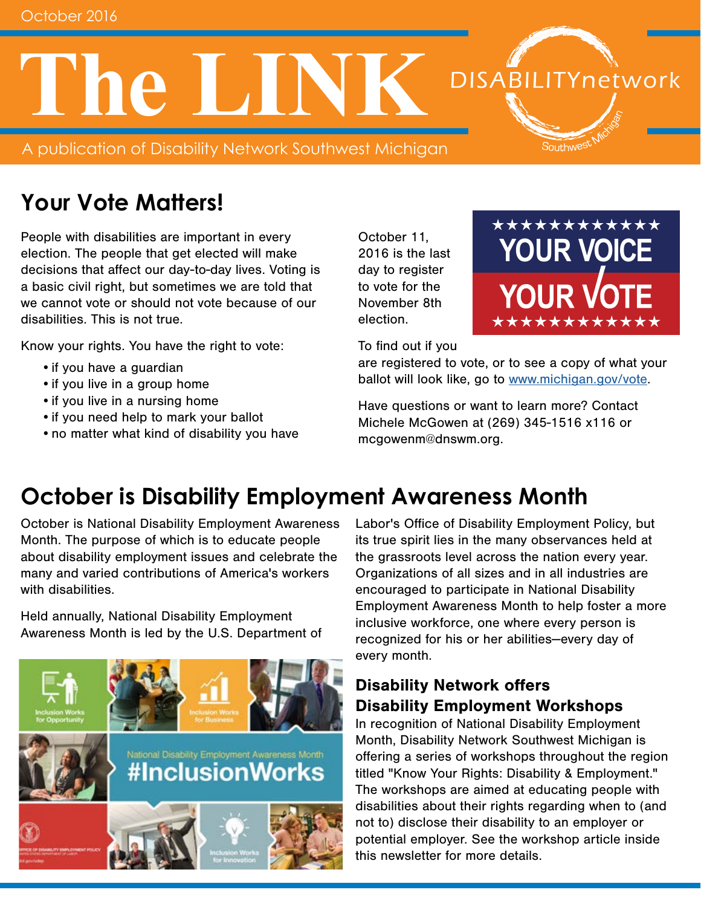**The LINK**

A publication of Disability Network Southwest Michigan

# **Your Vote Matters!**

People with disabilities are important in every election. The people that get elected will make decisions that affect our day-to-day lives. Voting is a basic civil right, but sometimes we are told that we cannot vote or should not vote because of our disabilities. This is not true.

Know your rights. You have the right to vote:

- •if you have a guardian
- if you live in a group home
- if you live in a nursing home
- •if you need help to mark your ballot
- •no matter what kind of disability you have

October 11, 2016 is the last day to register to vote for the November 8th election.

\*\*\*\*\*\*\*\*\*\*\*\* **YOUR VOICE YOUR VOT** \*\*\*\*\*\*\*\*\*\*\*\*

**DISABILITYnetwork** 

Southwest

To find out if you

are registered to vote, or to see a copy of what your ballot will look like, go to [www.michigan.gov/vote.](http://www.michigan.gov/vote)

Have questions or want to learn more? Contact Michele McGowen at (269) 345-1516 x116 or mcgowenm@dnswm.org.

### **October is Disability Employment Awareness Month**

October is National Disability Employment Awareness Month. The purpose of which is to educate people about disability employment issues and celebrate the many and varied contributions of America's workers with disabilities.

Held annually, National Disability Employment Awareness Month is led by the U.S. Department of



Labor's Office of Disability Employment Policy, but its true spirit lies in the many observances held at the grassroots level across the nation every year. Organizations of all sizes and in all industries are encouraged to participate in National Disability Employment Awareness Month to help foster a more inclusive workforce, one where every person is recognized for his or her abilities—every day of every month.

### Disability Network offers Disability Employment Workshops

In recognition of National Disability Employment Month, Disability Network Southwest Michigan is offering a series of workshops throughout the region titled "Know Your Rights: Disability & Employment." The workshops are aimed at educating people with disabilities about their rights regarding when to (and not to) disclose their disability to an employer or potential employer. See the workshop article inside this newsletter for more details.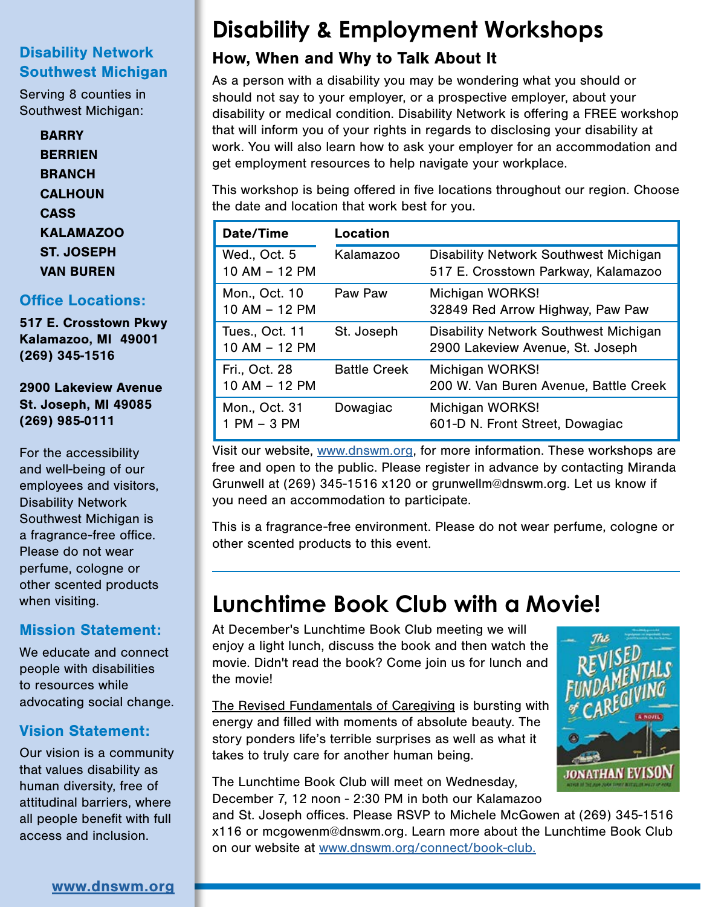### Disability Network Southwest Michigan

Serving 8 counties in Southwest Michigan:

> **BARRY BERRIEN BRANCH CALHOUN** CASS KALAMAZOO ST. JOSEPH VAN BUREN

#### Office Locations:

517 E. Crosstown Pkwy Kalamazoo, MI 49001 (269) 345-1516

2900 Lakeview Avenue St. Joseph, MI 49085 (269) 985-0111

For the accessibility and well-being of our employees and visitors, Disability Network Southwest Michigan is a fragrance-free office. Please do not wear perfume, cologne or other scented products when visiting.

#### Mission Statement:

We educate and connect people with disabilities to resources while advocating social change.

### Vision Statement:

Our vision is a community that values disability as human diversity, free of attitudinal barriers, where all people benefit with full access and inclusion.

# **Disability & Employment Workshops**

### How, When and Why to Talk About It

As a person with a disability you may be wondering what you should or should not say to your employer, or a prospective employer, about your disability or medical condition. Disability Network is offering a FREE workshop that will inform you of your rights in regards to disclosing your disability at work. You will also learn how to ask your employer for an accommodation and get employment resources to help navigate your workplace.

This workshop is being offered in five locations throughout our region. Choose the date and location that work best for you.

| Date/Time                        | <b>Location</b>     |                                                                              |
|----------------------------------|---------------------|------------------------------------------------------------------------------|
| Wed., Oct. 5<br>10 AM - 12 PM    | Kalamazoo           | Disability Network Southwest Michigan<br>517 E. Crosstown Parkway, Kalamazoo |
| Mon., Oct. 10<br>10 AM - 12 PM   | Paw Paw             | Michigan WORKS!<br>32849 Red Arrow Highway, Paw Paw                          |
| Tues., Oct. 11<br>10 AM - 12 PM  | St. Joseph          | Disability Network Southwest Michigan<br>2900 Lakeview Avenue, St. Joseph    |
| Fri., Oct. 28<br>10 AM - 12 PM   | <b>Battle Creek</b> | Michigan WORKS!<br>200 W. Van Buren Avenue, Battle Creek                     |
| Mon., Oct. 31<br>$1$ PM $-$ 3 PM | Dowagiac            | Michigan WORKS!<br>601-D N. Front Street, Dowagiac                           |

Visit our website, [www.dnswm.org,](http://www.dnswm.org/disability-employment-workshops/) for more information. These workshops are free and open to the public. Please register in advance by contacting Miranda Grunwell at (269) 345-1516 x120 or grunwellm@dnswm.org. Let us know if you need an accommodation to participate.

This is a fragrance-free environment. Please do not wear perfume, cologne or other scented products to this event.

### **Lunchtime Book Club with a Movie!**

At December's Lunchtime Book Club meeting we will enjoy a light lunch, discuss the book and then watch the movie. Didn't read the book? Come join us for lunch and the movie!

The Revised Fundamentals of Caregiving is bursting with energy and filled with moments of absolute beauty. The story ponders life's terrible surprises as well as what it takes to truly care for another human being.

The Lunchtime Book Club will meet on Wednesday, December 7, 12 noon - 2:30 PM in both our Kalamazoo



and St. Joseph offices. Please RSVP to Michele McGowen at (269) 345-1516 x116 or mcgowenm@dnswm.org. Learn more about the Lunchtime Book Club on our website at [www.dnswm.org/connect/book-club](http://www.dnswm.org/connect/book-club/).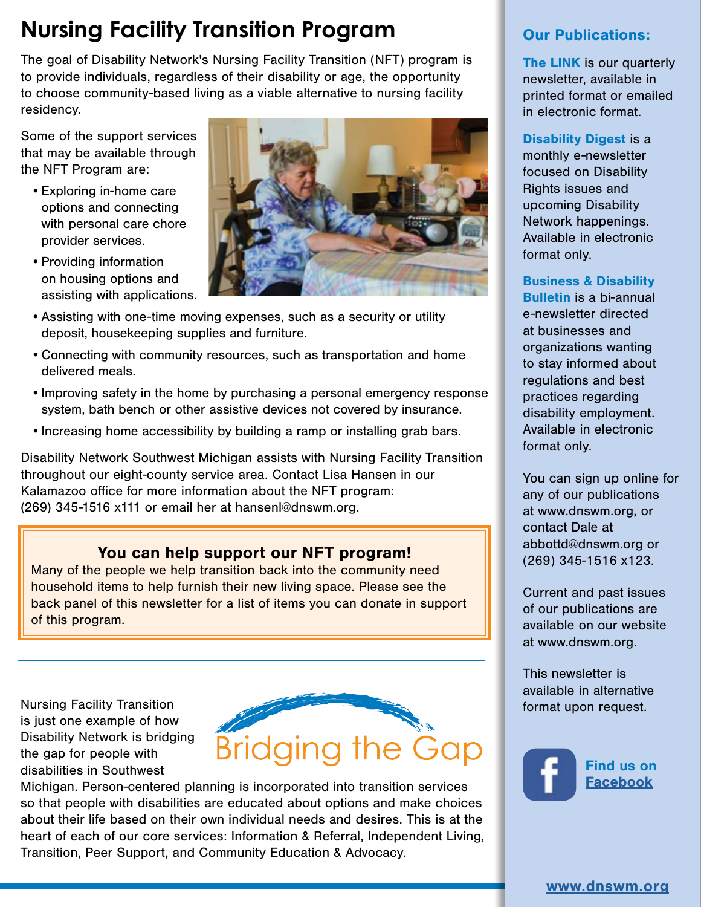# **Nursing Facility Transition Program**

The goal of Disability Network's Nursing Facility Transition (NFT) program is to provide individuals, regardless of their disability or age, the opportunity to choose community-based living as a viable alternative to nursing facility residency.

Some of the support services that may be available through the NFT Program are:

- •Exploring in-home care options and connecting with personal care chore provider services.
- Providing information on housing options and assisting with applications.



- •Assisting with one-time moving expenses, such as a security or utility deposit, housekeeping supplies and furniture.
- •Connecting with community resources, such as transportation and home delivered meals.
- •Improving safety in the home by purchasing a personal emergency response system, bath bench or other assistive devices not covered by insurance.
- •Increasing home accessibility by building a ramp or installing grab bars.

Disability Network Southwest Michigan assists with Nursing Facility Transition throughout our eight-county service area. Contact Lisa Hansen in our Kalamazoo office for more information about the NFT program: (269) 345-1516 x111 or email her at hansenl@dnswm.org.

### You can help support our NFT program!

Many of the people we help transition back into the community need household items to help furnish their new living space. Please see the back panel of this newsletter for a list of items you can donate in support of this program.

Nursing Facility Transition is just one example of how Disability Network is bridging the gap for people with disabilities in Southwest



Michigan. Person-centered planning is incorporated into transition services so that people with disabilities are educated about options and make choices about their life based on their own individual needs and desires. This is at the heart of each of our core services: Information & Referral, Independent Living, Transition, Peer Support, and Community Education & Advocacy.

### Our Publications:

The LINK is our quarterly newsletter, available in printed format or emailed in electronic format.

Disability Digest is a monthly e-newsletter focused on Disability Rights issues and upcoming Disability Network happenings. Available in electronic format only.

Business & Disability Bulletin is a bi-annual e-newsletter directed at businesses and organizations wanting to stay informed about regulations and best practices regarding disability employment. Available in electronic format only.

You can sign up online for any of our publications at www.dnswm.org, or contact Dale at abbottd@dnswm.org or (269) 345-1516 x123.

Current and past issues of our publications are available on our website at www.dnswm.org.

This newsletter is available in alternative format upon request.